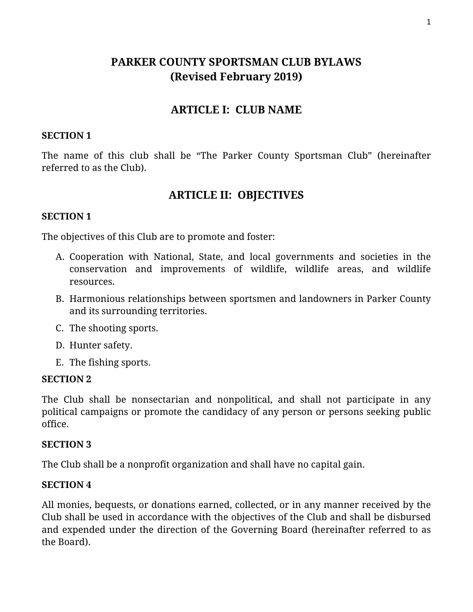# **PARKER COUNTY SPORTSMAN CLUB BYLAWS (Revised February 2019)**

## **ARTICLE I: CLUB NAME**

### **SECTION 1**

The name of this club shall be "The Parker County Sportsman Club" (hereinafter referred to as the Club).

# **ARTICLE II: OBJECTIVES**

### **SECTION 1**

The objectives of this Club are to promote and foster:

- A. Cooperation with National, State, and local governments and societies in the conservation and improvements of wildlife, wildlife areas, and wildlife resources.
- B. Harmonious relationships between sportsmen and landowners in Parker County and its surrounding territories.
- C. The shooting sports.
- D. Hunter safety.
- E. The fishing sports.

#### **SECTION 2**

The Club shall be nonsectarian and nonpolitical, and shall not participate in any political campaigns or promote the candidacy of any person or persons seeking public office.

#### **SECTION 3**

The Club shall be a nonprofit organization and shall have no capital gain.

### **SECTION 4**

All monies, bequests, or donations earned, collected, or in any manner received by the Club shall be used in accordance with the objectives of the Club and shall be disbursed and expended under the direction of the Governing Board (hereinafter referred to as the Board).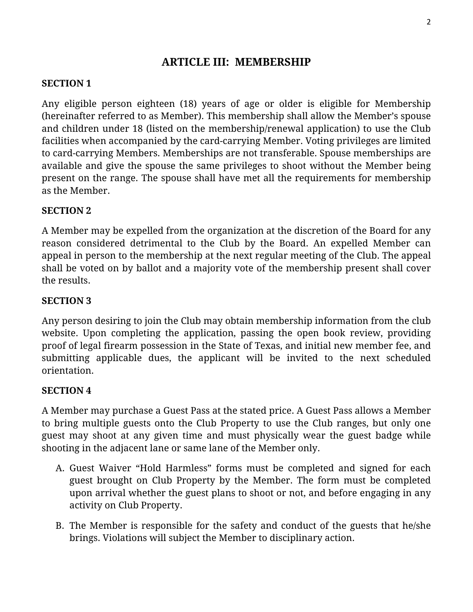# **ARTICLE III: MEMBERSHIP**

### **SECTION 1**

Any eligible person eighteen (18) years of age or older is eligible for Membership (hereinafter referred to as Member). This membership shall allow the Member's spouse and children under 18 (listed on the membership/renewal application) to use the Club facilities when accompanied by the card-carrying Member. Voting privileges are limited to card-carrying Members. Memberships are not transferable. Spouse memberships are available and give the spouse the same privileges to shoot without the Member being present on the range. The spouse shall have met all the requirements for membership as the Member.

### **SECTION 2**

A Member may be expelled from the organization at the discretion of the Board for any reason considered detrimental to the Club by the Board. An expelled Member can appeal in person to the membership at the next regular meeting of the Club. The appeal shall be voted on by ballot and a majority vote of the membership present shall cover the results.

### **SECTION 3**

Any person desiring to join the Club may obtain membership information from the club website. Upon completing the application, passing the open book review, providing proof of legal firearm possession in the State of Texas, and initial new member fee, and submitting applicable dues, the applicant will be invited to the next scheduled orientation.

### **SECTION 4**

A Member may purchase a Guest Pass at the stated price. A Guest Pass allows a Member to bring multiple guests onto the Club Property to use the Club ranges, but only one guest may shoot at any given time and must physically wear the guest badge while shooting in the adjacent lane or same lane of the Member only.

- A. Guest Waiver "Hold Harmless" forms must be completed and signed for each guest brought on Club Property by the Member. The form must be completed upon arrival whether the guest plans to shoot or not, and before engaging in any activity on Club Property.
- B. The Member is responsible for the safety and conduct of the guests that he/she brings. Violations will subject the Member to disciplinary action.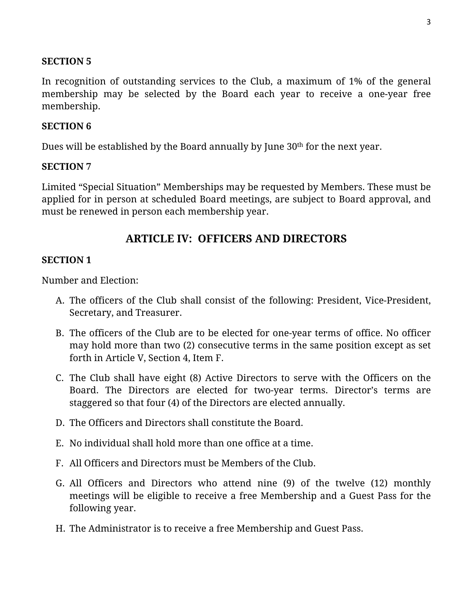In recognition of outstanding services to the Club, a maximum of 1% of the general membership may be selected by the Board each year to receive a one-year free membership.

### **SECTION 6**

Dues will be established by the Board annually by June 30<sup>th</sup> for the next year.

### **SECTION 7**

Limited "Special Situation" Memberships may be requested by Members. These must be applied for in person at scheduled Board meetings, are subject to Board approval, and must be renewed in person each membership year.

# **ARTICLE IV: OFFICERS AND DIRECTORS**

### **SECTION 1**

Number and Election:

- A. The officers of the Club shall consist of the following: President, Vice-President, Secretary, and Treasurer.
- B. The officers of the Club are to be elected for one-year terms of office. No officer may hold more than two (2) consecutive terms in the same position except as set forth in Article V, Section 4, Item F.
- C. The Club shall have eight (8) Active Directors to serve with the Officers on the Board. The Directors are elected for two-year terms. Director's terms are staggered so that four (4) of the Directors are elected annually.
- D. The Officers and Directors shall constitute the Board.
- E. No individual shall hold more than one office at a time.
- F. All Officers and Directors must be Members of the Club.
- G. All Officers and Directors who attend nine (9) of the twelve (12) monthly meetings will be eligible to receive a free Membership and a Guest Pass for the following year.
- H. The Administrator is to receive a free Membership and Guest Pass.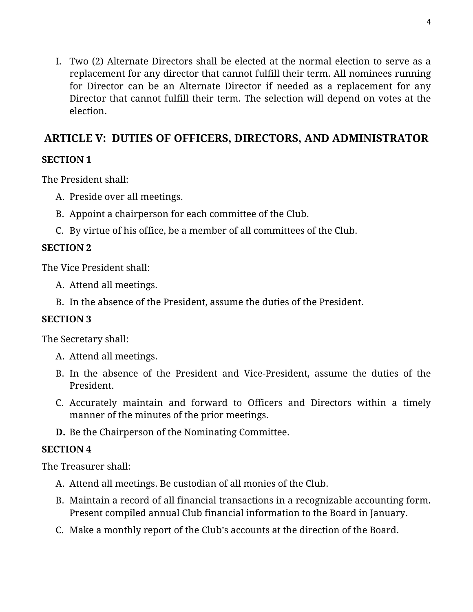I. Two (2) Alternate Directors shall be elected at the normal election to serve as a replacement for any director that cannot fulfill their term. All nominees running for Director can be an Alternate Director if needed as a replacement for any Director that cannot fulfill their term. The selection will depend on votes at the election.

# **ARTICLE V: DUTIES OF OFFICERS, DIRECTORS, AND ADMINISTRATOR**

# **SECTION 1**

The President shall:

- A. Preside over all meetings.
- B. Appoint a chairperson for each committee of the Club.
- C. By virtue of his office, be a member of all committees of the Club.

## **SECTION 2**

The Vice President shall:

- A. Attend all meetings.
- B. In the absence of the President, assume the duties of the President.

## **SECTION 3**

The Secretary shall:

- A. Attend all meetings.
- B. In the absence of the President and Vice-President, assume the duties of the President.
- C. Accurately maintain and forward to Officers and Directors within a timely manner of the minutes of the prior meetings.
- **D.** Be the Chairperson of the Nominating Committee.

## **SECTION 4**

The Treasurer shall:

- A. Attend all meetings. Be custodian of all monies of the Club.
- B. Maintain a record of all financial transactions in a recognizable accounting form. Present compiled annual Club financial information to the Board in January.
- C. Make a monthly report of the Club's accounts at the direction of the Board.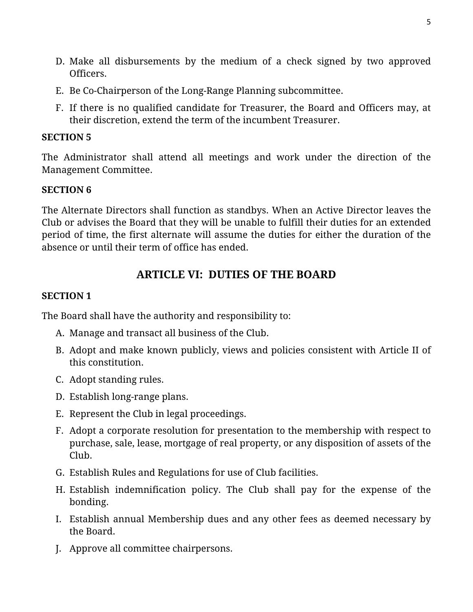- D. Make all disbursements by the medium of a check signed by two approved Officers.
- E. Be Co-Chairperson of the Long-Range Planning subcommittee.
- F. If there is no qualified candidate for Treasurer, the Board and Officers may, at their discretion, extend the term of the incumbent Treasurer.

The Administrator shall attend all meetings and work under the direction of the Management Committee.

## **SECTION 6**

The Alternate Directors shall function as standbys. When an Active Director leaves the Club or advises the Board that they will be unable to fulfill their duties for an extended period of time, the first alternate will assume the duties for either the duration of the absence or until their term of office has ended.

# **ARTICLE VI: DUTIES OF THE BOARD**

## **SECTION 1**

The Board shall have the authority and responsibility to:

- A. Manage and transact all business of the Club.
- B. Adopt and make known publicly, views and policies consistent with Article II of this constitution.
- C. Adopt standing rules.
- D. Establish long-range plans.
- E. Represent the Club in legal proceedings.
- F. Adopt a corporate resolution for presentation to the membership with respect to purchase, sale, lease, mortgage of real property, or any disposition of assets of the Club.
- G. Establish Rules and Regulations for use of Club facilities.
- H. Establish indemnification policy. The Club shall pay for the expense of the bonding.
- I. Establish annual Membership dues and any other fees as deemed necessary by the Board.
- J. Approve all committee chairpersons.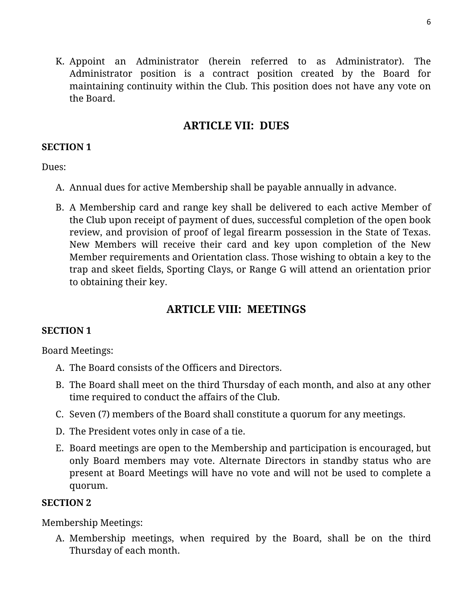K. Appoint an Administrator (herein referred to as Administrator). The Administrator position is a contract position created by the Board for maintaining continuity within the Club. This position does not have any vote on the Board.

# **ARTICLE VII: DUES**

## **SECTION 1**

Dues:

- A. Annual dues for active Membership shall be payable annually in advance.
- B. A Membership card and range key shall be delivered to each active Member of the Club upon receipt of payment of dues, successful completion of the open book review, and provision of proof of legal firearm possession in the State of Texas. New Members will receive their card and key upon completion of the New Member requirements and Orientation class. Those wishing to obtain a key to the trap and skeet fields, Sporting Clays, or Range G will attend an orientation prior to obtaining their key.

# **ARTICLE VIII: MEETINGS**

# **SECTION 1**

Board Meetings:

- A. The Board consists of the Officers and Directors.
- B. The Board shall meet on the third Thursday of each month, and also at any other time required to conduct the affairs of the Club.
- C. Seven (7) members of the Board shall constitute a quorum for any meetings.
- D. The President votes only in case of a tie.
- E. Board meetings are open to the Membership and participation is encouraged, but only Board members may vote. Alternate Directors in standby status who are present at Board Meetings will have no vote and will not be used to complete a quorum.

# **SECTION 2**

Membership Meetings:

A. Membership meetings, when required by the Board, shall be on the third Thursday of each month.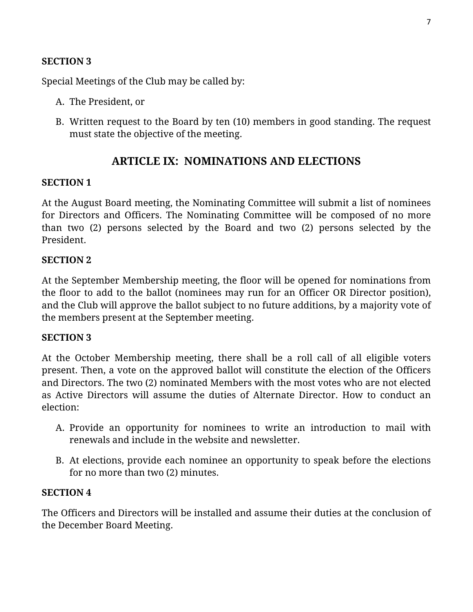Special Meetings of the Club may be called by:

- A. The President, or
- B. Written request to the Board by ten (10) members in good standing. The request must state the objective of the meeting.

## **ARTICLE IX: NOMINATIONS AND ELECTIONS**

### **SECTION 1**

At the August Board meeting, the Nominating Committee will submit a list of nominees for Directors and Officers. The Nominating Committee will be composed of no more than two (2) persons selected by the Board and two (2) persons selected by the President.

### **SECTION 2**

At the September Membership meeting, the floor will be opened for nominations from the floor to add to the ballot (nominees may run for an Officer OR Director position), and the Club will approve the ballot subject to no future additions, by a majority vote of the members present at the September meeting.

#### **SECTION 3**

At the October Membership meeting, there shall be a roll call of all eligible voters present. Then, a vote on the approved ballot will constitute the election of the Officers and Directors. The two (2) nominated Members with the most votes who are not elected as Active Directors will assume the duties of Alternate Director. How to conduct an election:

- A. Provide an opportunity for nominees to write an introduction to mail with renewals and include in the website and newsletter.
- B. At elections, provide each nominee an opportunity to speak before the elections for no more than two (2) minutes.

### **SECTION 4**

The Officers and Directors will be installed and assume their duties at the conclusion of the December Board Meeting.